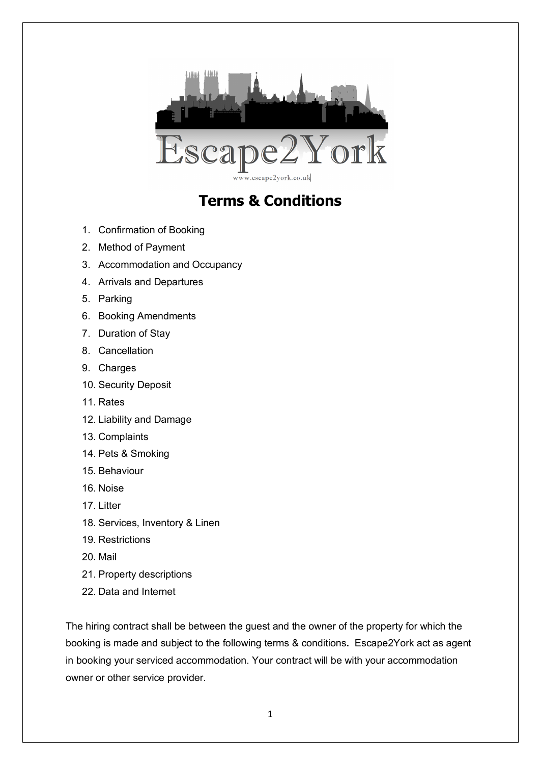

# **Terms & Conditions**

- 1. Confirmation of Booking
- 2. Method of Payment
- 3. Accommodation and Occupancy
- 4. Arrivals and Departures
- 5. Parking
- 6. Booking Amendments
- 7. Duration of Stay
- 8. Cancellation
- 9. Charges
- 10. Security Deposit
- 11. Rates
- 12. Liability and Damage
- 13. Complaints
- 14. Pets & Smoking
- 15. Behaviour
- 16. Noise
- 17. Litter
- 18. Services, Inventory & Linen
- 19. Restrictions
- 20. Mail
- 21. Property descriptions
- 22. Data and Internet

The hiring contract shall be between the guest and the owner of the property for which the booking is made and subject to the following terms & conditions**.** Escape2York act as agent in booking your serviced accommodation. Your contract will be with your accommodation owner or other service provider.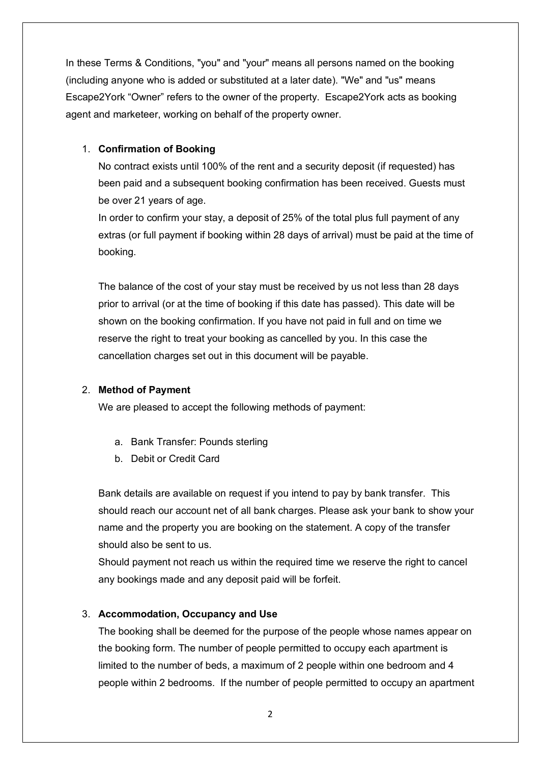In these Terms & Conditions, "you" and "your" means all persons named on the booking (including anyone who is added or substituted at a later date). "We" and "us" means Escape2York "Owner" refers to the owner of the property. Escape2York acts as booking agent and marketeer, working on behalf of the property owner.

# 1. **Confirmation of Booking**

No contract exists until 100% of the rent and a security deposit (if requested) has been paid and a subsequent booking confirmation has been received. Guests must be over 21 years of age.

In order to confirm your stay, a deposit of 25% of the total plus full payment of any extras (or full payment if booking within 28 days of arrival) must be paid at the time of booking.

The balance of the cost of your stay must be received by us not less than 28 days prior to arrival (or at the time of booking if this date has passed). This date will be shown on the booking confirmation. If you have not paid in full and on time we reserve the right to treat your booking as cancelled by you. In this case the cancellation charges set out in this document will be payable.

#### 2. **Method of Payment**

We are pleased to accept the following methods of payment:

- a. Bank Transfer: Pounds sterling
- b. Debit or Credit Card

Bank details are available on request if you intend to pay by bank transfer. This should reach our account net of all bank charges. Please ask your bank to show your name and the property you are booking on the statement. A copy of the transfer should also be sent to us.

Should payment not reach us within the required time we reserve the right to cancel any bookings made and any deposit paid will be forfeit.

# 3. **Accommodation, Occupancy and Use**

The booking shall be deemed for the purpose of the people whose names appear on the booking form. The number of people permitted to occupy each apartment is limited to the number of beds, a maximum of 2 people within one bedroom and 4 people within 2 bedrooms. If the number of people permitted to occupy an apartment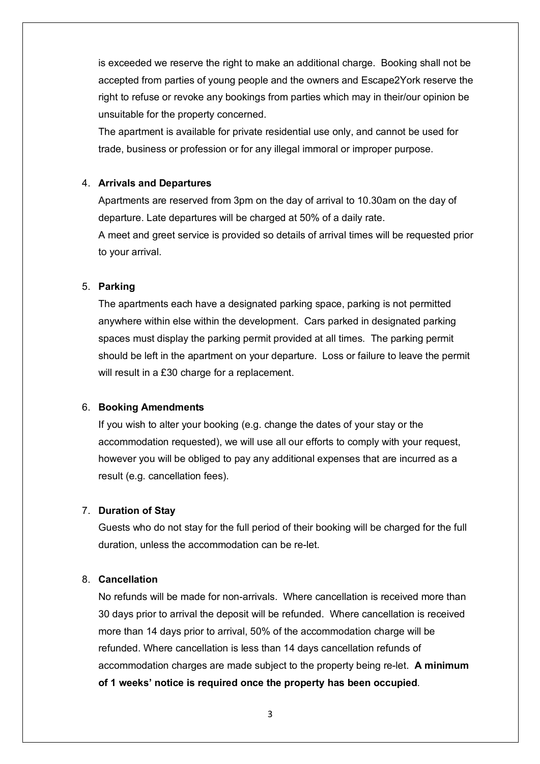is exceeded we reserve the right to make an additional charge. Booking shall not be accepted from parties of young people and the owners and Escape2York reserve the right to refuse or revoke any bookings from parties which may in their/our opinion be unsuitable for the property concerned.

The apartment is available for private residential use only, and cannot be used for trade, business or profession or for any illegal immoral or improper purpose.

## 4. **Arrivals and Departures**

Apartments are reserved from 3pm on the day of arrival to 10.30am on the day of departure. Late departures will be charged at 50% of a daily rate.

A meet and greet service is provided so details of arrival times will be requested prior to your arrival.

## 5. **Parking**

The apartments each have a designated parking space, parking is not permitted anywhere within else within the development. Cars parked in designated parking spaces must display the parking permit provided at all times. The parking permit should be left in the apartment on your departure. Loss or failure to leave the permit will result in a £30 charge for a replacement.

#### 6. **Booking Amendments**

If you wish to alter your booking (e.g. change the dates of your stay or the accommodation requested), we will use all our efforts to comply with your request, however you will be obliged to pay any additional expenses that are incurred as a result (e.g. cancellation fees).

# 7. **Duration of Stay**

Guests who do not stay for the full period of their booking will be charged for the full duration, unless the accommodation can be re-let.

## 8. **Cancellation**

No refunds will be made for non-arrivals. Where cancellation is received more than 30 days prior to arrival the deposit will be refunded. Where cancellation is received more than 14 days prior to arrival, 50% of the accommodation charge will be refunded. Where cancellation is less than 14 days cancellation refunds of accommodation charges are made subject to the property being re-let. **A minimum of 1 weeks' notice is required once the property has been occupied**.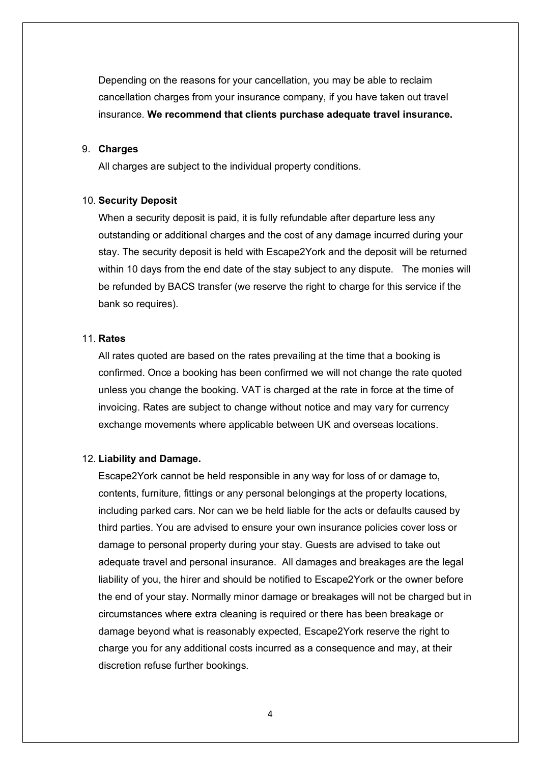Depending on the reasons for your cancellation, you may be able to reclaim cancellation charges from your insurance company, if you have taken out travel insurance. **We recommend that clients purchase adequate travel insurance.**

### 9. **Charges**

All charges are subject to the individual property conditions.

#### 10. **Security Deposit**

When a security deposit is paid, it is fully refundable after departure less any outstanding or additional charges and the cost of any damage incurred during your stay. The security deposit is held with Escape2York and the deposit will be returned within 10 days from the end date of the stay subject to any dispute. The monies will be refunded by BACS transfer (we reserve the right to charge for this service if the bank so requires).

#### 11. **Rates**

All rates quoted are based on the rates prevailing at the time that a booking is confirmed. Once a booking has been confirmed we will not change the rate quoted unless you change the booking. VAT is charged at the rate in force at the time of invoicing. Rates are subject to change without notice and may vary for currency exchange movements where applicable between UK and overseas locations.

## 12. **Liability and Damage.**

Escape2York cannot be held responsible in any way for loss of or damage to, contents, furniture, fittings or any personal belongings at the property locations, including parked cars. Nor can we be held liable for the acts or defaults caused by third parties. You are advised to ensure your own insurance policies cover loss or damage to personal property during your stay. Guests are advised to take out adequate travel and personal insurance. All damages and breakages are the legal liability of you, the hirer and should be notified to Escape2York or the owner before the end of your stay. Normally minor damage or breakages will not be charged but in circumstances where extra cleaning is required or there has been breakage or damage beyond what is reasonably expected, Escape2York reserve the right to charge you for any additional costs incurred as a consequence and may, at their discretion refuse further bookings.

4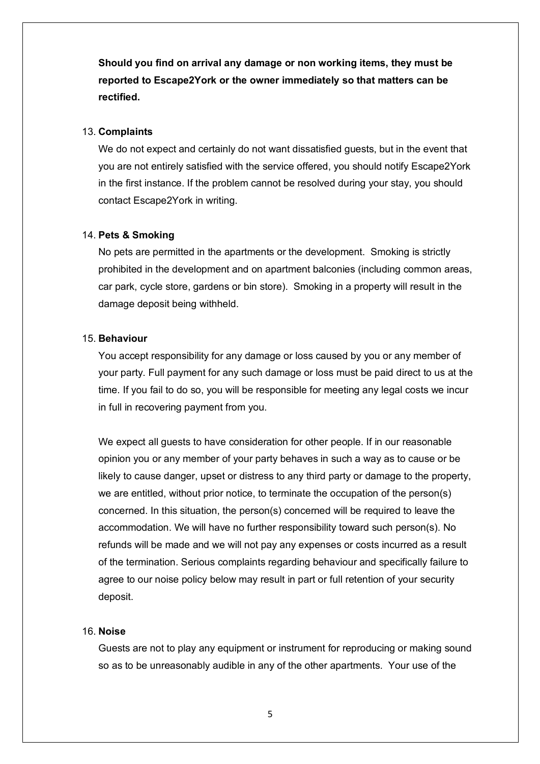**Should you find on arrival any damage or non working items, they must be reported to Escape2York or the owner immediately so that matters can be rectified.** 

#### 13. **Complaints**

We do not expect and certainly do not want dissatisfied guests, but in the event that you are not entirely satisfied with the service offered, you should notify Escape2York in the first instance. If the problem cannot be resolved during your stay, you should contact Escape2York in writing.

## 14. **Pets & Smoking**

No pets are permitted in the apartments or the development. Smoking is strictly prohibited in the development and on apartment balconies (including common areas, car park, cycle store, gardens or bin store). Smoking in a property will result in the damage deposit being withheld.

#### 15. **Behaviour**

You accept responsibility for any damage or loss caused by you or any member of your party. Full payment for any such damage or loss must be paid direct to us at the time. If you fail to do so, you will be responsible for meeting any legal costs we incur in full in recovering payment from you.

We expect all guests to have consideration for other people. If in our reasonable opinion you or any member of your party behaves in such a way as to cause or be likely to cause danger, upset or distress to any third party or damage to the property, we are entitled, without prior notice, to terminate the occupation of the person(s) concerned. In this situation, the person(s) concerned will be required to leave the accommodation. We will have no further responsibility toward such person(s). No refunds will be made and we will not pay any expenses or costs incurred as a result of the termination. Serious complaints regarding behaviour and specifically failure to agree to our noise policy below may result in part or full retention of your security deposit.

## 16. **Noise**

Guests are not to play any equipment or instrument for reproducing or making sound so as to be unreasonably audible in any of the other apartments. Your use of the

5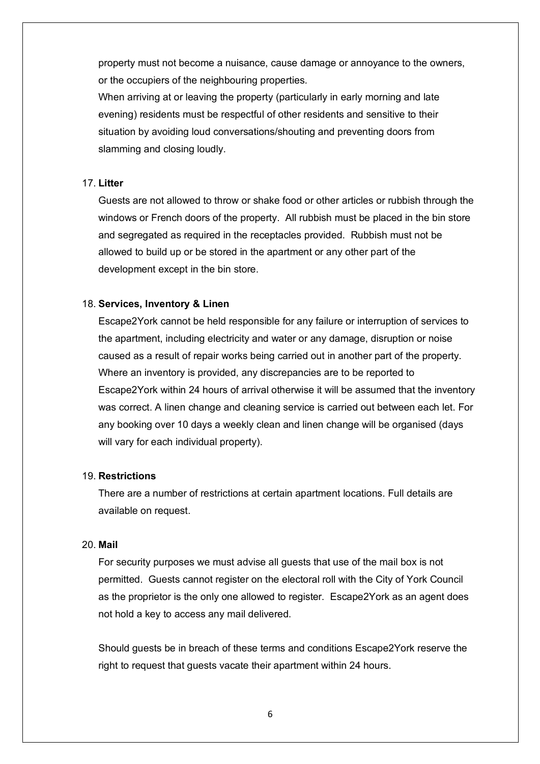property must not become a nuisance, cause damage or annoyance to the owners, or the occupiers of the neighbouring properties.

When arriving at or leaving the property (particularly in early morning and late evening) residents must be respectful of other residents and sensitive to their situation by avoiding loud conversations/shouting and preventing doors from slamming and closing loudly.

## 17. **Litter**

Guests are not allowed to throw or shake food or other articles or rubbish through the windows or French doors of the property. All rubbish must be placed in the bin store and segregated as required in the receptacles provided. Rubbish must not be allowed to build up or be stored in the apartment or any other part of the development except in the bin store.

#### 18. **Services, Inventory & Linen**

Escape2York cannot be held responsible for any failure or interruption of services to the apartment, including electricity and water or any damage, disruption or noise caused as a result of repair works being carried out in another part of the property. Where an inventory is provided, any discrepancies are to be reported to Escape2York within 24 hours of arrival otherwise it will be assumed that the inventory was correct. A linen change and cleaning service is carried out between each let. For any booking over 10 days a weekly clean and linen change will be organised (days will vary for each individual property).

#### 19. **Restrictions**

There are a number of restrictions at certain apartment locations. Full details are available on request.

#### 20. **Mail**

For security purposes we must advise all guests that use of the mail box is not permitted. Guests cannot register on the electoral roll with the City of York Council as the proprietor is the only one allowed to register. Escape2York as an agent does not hold a key to access any mail delivered.

Should guests be in breach of these terms and conditions Escape2York reserve the right to request that guests vacate their apartment within 24 hours.